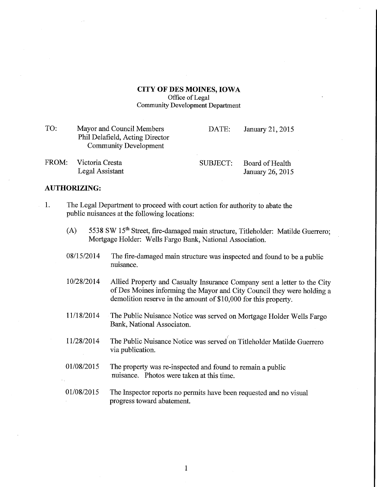## CITY OF DES MOINES, IOWA Office of Legal Community Development Department

| TO:   | Mayor and Council Members<br>Phil Delafield, Acting Director<br><b>Community Development</b> | DATE:    | January 21, 2015                    |
|-------|----------------------------------------------------------------------------------------------|----------|-------------------------------------|
| FROM: | Victoria Cresta<br>Legal Assistant                                                           | SUBJECT: | Board of Health<br>January 26, 2015 |

## AUTHORIZING:

- 1. The Legal Department to proceed with court action for authority to abate the public nuisances at the following locations:
	- (A) 5538 SW 15<sup>th</sup> Street, fire-damaged main structure, Titleholder: Matilde Guerrero; Mortgage Holder: Wells Fargo Bank, National Association.
	- $08/15/2014$  The fire-damaged main structure was inspected and found to be a public nuisance.
	- 10/28/2014 Allied Property and Casualty Insurance Company sent a letter to the City of Des Moines informing the Mayor and City Council they were holding a demolition reserve in the amount of \$10,000 for this property.
	- 11/18/2014 The Public Nuisance Notice was served on Mortgage Holder Wells Fargo Bank, National Associaton.
	- 1/28/2014 The Public Nuisance Notice was served on Titleholder Matilde Guerrero via publication.
	- 01/08/2015 The property was re-inspected and found to remain a public nuisance. Photos were taken at this time.
	- 01/08/2015 The Inspector reports no permits have been requested and no visual progress toward abatement.

 $\mathbf{1}$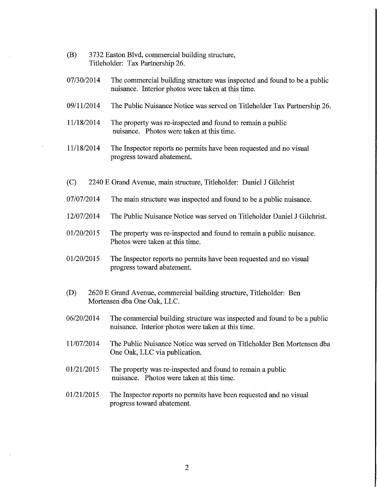- (B) 3732 Easton Blvd, commercial building structure, Titleholder: Tax Partnership 26.
- 07/30/2014 The commercial building structure was inspected and found to be a public nuisance. Interior photos were taken at this time.
- 09/11/2014 The Public Nuisance Notice was served on Titleholder Tax Partnership 26.
- 11/18/2014 The property was re-inspected and found to remain a public nuisance. Photos were taken at this time.
- 11/18/2014 The Inspector reports no permits have been requested and no visual progress toward abatement.
- (C) 2240 E Grand Avenue, main stmcture, Titleholder: Daniel J Gilchrist
- 07/07/2014 The main structure was inspected and found to be a public nuisance.
- 12/07/2014 The Public Nuisance Notice was served on Titleholder Daniel J Gilchrist.
- 01/20/2015 The property was re-inspected and found to remain a public nuisance. Photos were taken at this time.
- 01/20/2015 The Inspector reports no permits have been requested and no visual progress toward abatement.
- (D) 2620 E Grand Avenue, commercial building structure, Titleholder: Ben Mortensen dba One Oak, LLC.
- 06/20/2014 The commercial building structure was inspected and found to be a public nuisance. Interior photos were taken at this time.
- 11/07/2014 The Public Nuisance Notice was served on Titleholder Ben Mortensen dba One Oak, LLC via publication.
- 01/21/2015 The property was re-inspected and found to remain a public nuisance. Photos were taken at this time.
- 01/21/2015 The Inspector reports no permits have been requested and no visual progress toward abatement.